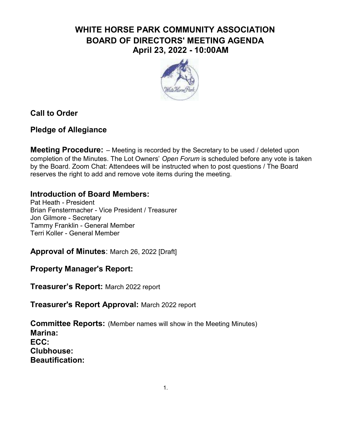# WHITE HORSE PARK COMMUNITY ASSOCIATION BOARD OF DIRECTORS' MEETING AGENDA April 23, 2022 - 10:00AM



# Call to Order

# Pledge of Allegiance

**Meeting Procedure:** - Meeting is recorded by the Secretary to be used / deleted upon completion of the Minutes. The Lot Owners' Open Forum is scheduled before any vote is taken by the Board. Zoom Chat: Attendees will be instructed when to post questions / The Board reserves the right to add and remove vote items during the meeting.

### Introduction of Board Members:

Pat Heath - President Brian Fenstermacher - Vice President / Treasurer Jon Gilmore - Secretary Tammy Franklin - General Member Terri Koller - General Member

Approval of Minutes: March 26, 2022 [Draft]

Property Manager's Report:

Treasurer's Report: March 2022 report

Treasurer's Report Approval: March 2022 report

Committee Reports: (Member names will show in the Meeting Minutes) Marina: ECC: Clubhouse: Beautification: